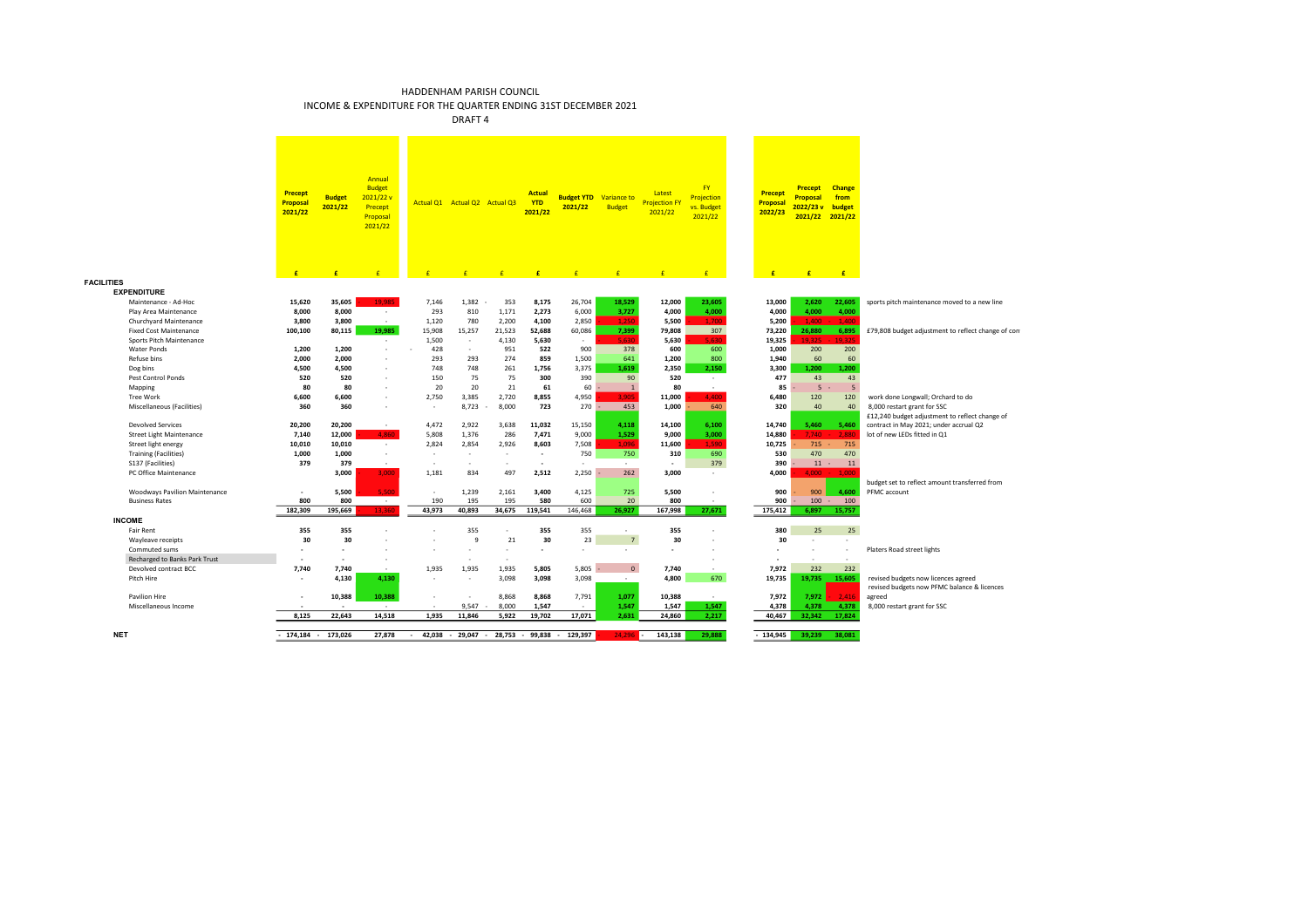INCOME & EXPENDITURE FOR THE QUARTER ENDING 31ST DECEMBER 2021

**FACILITIES**

|                                                         | <b>Precept</b><br>Proposal<br>2021/22 | <b>Budget</b><br>2021/22 | Annual<br><b>Budget</b><br>2021/22 v<br>Precept<br>Proposal<br>2021/22 |                 | Actual Q1 Actual Q2 Actual Q3<br>$\epsilon$ | F               | Actual<br><b>YTD</b><br>2021/22<br>£ | <b>Budget YTD</b><br>2021/22 | Variance to<br><b>Budget</b><br>$\mathbf{f}$ | Latest<br><b>Projection FY</b><br>2021/22<br>$\mathbf{f}$ | <b>FY</b><br>Projection<br>vs. Budget<br>2021/22<br>$\mathbf{f}$ | Precept<br>Proposal<br>2022/23<br>$\mathbf{f}$ | <b>Precept</b><br><b>Proposal</b><br>2022/23 v | <b>Change</b><br>from<br>budget<br>2021/22 2021/22 |                                                    |
|---------------------------------------------------------|---------------------------------------|--------------------------|------------------------------------------------------------------------|-----------------|---------------------------------------------|-----------------|--------------------------------------|------------------------------|----------------------------------------------|-----------------------------------------------------------|------------------------------------------------------------------|------------------------------------------------|------------------------------------------------|----------------------------------------------------|----------------------------------------------------|
| TIES                                                    | £                                     | £                        |                                                                        |                 |                                             |                 |                                      |                              |                                              |                                                           |                                                                  |                                                | £                                              | E                                                  |                                                    |
|                                                         |                                       |                          |                                                                        |                 |                                             |                 |                                      |                              |                                              |                                                           |                                                                  |                                                |                                                |                                                    |                                                    |
| <b>EXPENDITURE</b>                                      |                                       |                          | 19.985                                                                 |                 |                                             |                 |                                      |                              |                                              |                                                           |                                                                  |                                                |                                                |                                                    |                                                    |
| Maintenance - Ad-Hoc                                    | 15,620                                | 35,605                   |                                                                        | 7,146           | 1,382                                       | 353             | 8,175                                | 26,704                       | 18,529                                       | 12,000                                                    | 23,605                                                           | 13,000                                         | 2,620                                          | 22,605                                             | sports pitch maintenance moved to a new line       |
| Play Area Maintenance                                   | 8,000                                 | 8,000                    | $\sim$<br>$\sim$                                                       | 293             | 810                                         | 1,171           | 2,273                                | 6,000                        | 3,727<br>1.250                               | 4,000                                                     | 4.000<br>1.700                                                   | 4,000                                          | 4,000<br>1.400                                 | 4,000<br>1.400                                     |                                                    |
| Churchyard Maintenance<br><b>Fixed Cost Maintenance</b> | 3,800                                 | 3,800                    | 19.985                                                                 | 1,120           | 780                                         | 2,200           | 4,100                                | 2,850                        |                                              | 5,500                                                     | 307                                                              | 5,200<br>73,220                                | 26,880                                         |                                                    |                                                    |
| Sports Pitch Maintenance                                | 100,100                               | 80,115                   | $\sim$                                                                 | 15,908<br>1,500 | 15,257<br>$\sim$                            | 21,523<br>4,130 | 52,688<br>5,630                      | 60,086<br>$\sim$             | 7,399<br>5.630                               | 79,808<br>5,630                                           | 5.630                                                            | 19,325                                         | 19.325                                         | 6,895<br>19.325                                    | £79,808 budget adjustment to reflect change of con |
| Water Ponds                                             | 1,200                                 | 1,200                    | $\sim$                                                                 | 428             | $\sim$                                      | 951             | 522                                  | 900                          | 378                                          | 600                                                       | 600                                                              | 1,000                                          | 200                                            | 200                                                |                                                    |
| Refuse bins                                             | 2,000                                 | 2.000                    | $\sim$                                                                 | 293             | 293                                         | 274             | 859                                  | 1,500                        | 641                                          | 1,200                                                     | 800                                                              | 1,940                                          | 60                                             | 60                                                 |                                                    |
| Dog bins                                                | 4,500                                 | 4,500                    | $\sim$                                                                 | 748             | 748                                         | 261             | 1,756                                | 3,375                        | 1,619                                        | 2,350                                                     | 2.150                                                            | 3,300                                          | 1,200                                          | 1,200                                              |                                                    |
| Pest Control Ponds                                      | 520                                   | 520                      | $\sim$                                                                 | 150             | 75                                          | 75              | 300                                  | 390                          | 90                                           | 520                                                       | $\sim$                                                           | 477                                            | 43                                             | 43                                                 |                                                    |
| Mapping                                                 | 80                                    | 80                       | $\sim$                                                                 | 20              | 20                                          | 21              | 61                                   | 60                           | $\overline{1}$                               | 80                                                        | $\sim$                                                           | 85                                             | 5                                              | 5                                                  |                                                    |
| Tree Work                                               | 6,600                                 | 6,600                    | $\sim$                                                                 | 2,750           | 3,385                                       | 2,720           | 8,855                                | 4,950                        | 3.905                                        | 11.000                                                    | 4.400                                                            | 6,480                                          | 120                                            | 120                                                | work done Longwall; Orchard to do                  |
| Miscellaneous (Facilities)                              | 360                                   | 360                      | $\sim$                                                                 | $\sim$          | 8,723                                       | 8,000           | 723                                  | 270                          | 453                                          | 1,000                                                     | 640                                                              | 320                                            | 40                                             | 40                                                 | 8,000 restart grant for SSC                        |
|                                                         |                                       |                          |                                                                        |                 |                                             |                 |                                      |                              |                                              |                                                           |                                                                  |                                                |                                                |                                                    | £12,240 budget adjustment to reflect change of     |
| <b>Devolved Services</b>                                | 20,200                                | 20,200                   |                                                                        | 4,472           | 2,922                                       | 3,638           | 11,032                               | 15,150                       | 4.118                                        | 14,100                                                    | 6.100                                                            | 14,740                                         | 5.460                                          | 5.460                                              | contract in May 2021; under accrual Q2             |
| <b>Street Light Maintenance</b>                         | 7,140                                 | 12,000                   | 4.860                                                                  | 5,808           | 1,376                                       | 286             | 7,471                                | 9,000                        | 1,529                                        | 9,000                                                     | 3,000                                                            | 14,880                                         | 7.740                                          | 2,880                                              | lot of new LEDs fitted in Q1                       |
| Street light energy                                     | 10,010                                | 10,010                   | $\epsilon$                                                             | 2,824           | 2,854                                       | 2,926           | 8,603                                | 7,508                        | 1.096                                        | 11,600                                                    | 1.590                                                            | 10,725                                         | 715                                            | 715                                                |                                                    |
| <b>Training (Facilities)</b>                            | 1,000                                 | 1,000                    | $\sim$                                                                 | . п.            | - 1                                         | ٠               | $\overline{\phantom{a}}$             | 750                          | 750                                          | 310                                                       | 690                                                              | 530                                            | 470                                            | 470                                                |                                                    |
| S137 (Facilities)                                       | 379                                   | 379                      | $\sim$                                                                 | $\sim$          | $\sim$                                      | ٠               |                                      |                              | $\sim$                                       |                                                           | 379                                                              | 390                                            | 11                                             | 11                                                 |                                                    |
| PC Office Maintenance                                   |                                       | 3,000                    | 3.000                                                                  | 1.181           | 834                                         | 497             | 2.512                                | 2,250                        | 262                                          | 3.000                                                     | ٠                                                                | 4,000                                          | $4.000 -$                                      | 1.000                                              |                                                    |
|                                                         |                                       |                          |                                                                        |                 |                                             |                 |                                      |                              |                                              |                                                           |                                                                  |                                                |                                                |                                                    | budget set to reflect amount transferred from      |
| <b>Woodways Pavilion Maintenance</b>                    | ٠                                     | 5.500                    | 5.500                                                                  | $\sim$          | 1.239                                       | 2,161           | 3.400                                | 4,125                        | 725                                          | 5.500                                                     | ×,                                                               | 900                                            | 900                                            | 4.600                                              | PFMC account                                       |
| <b>Business Rates</b>                                   | 800                                   | 800                      | $\sim$ 100 $\mu$                                                       | 190             | 195                                         | 195             | 580                                  | 600                          | 20                                           | 800                                                       | $\sim$                                                           | 900                                            | 100                                            | 100                                                |                                                    |
|                                                         | 182,309                               | 195,669                  | 13,360                                                                 | 43,973          | 40,893                                      | 34,675          | 119,541                              | 146,468                      | 26,927                                       | 167,998                                                   | 27,671                                                           | 175,412                                        | 6,897                                          | 15,757                                             |                                                    |
| <b>INCOME</b>                                           |                                       |                          |                                                                        |                 |                                             |                 |                                      |                              |                                              |                                                           |                                                                  |                                                |                                                |                                                    |                                                    |
| <b>Fair Rent</b>                                        | 355                                   | 355                      |                                                                        |                 | 355                                         | ٠               | 355                                  | 355                          | ×.                                           | 355                                                       |                                                                  | 380                                            | 25                                             | 25                                                 |                                                    |
| Wayleave receipts                                       | 30                                    | 30                       |                                                                        |                 | 9                                           | 21              | 30                                   | 23                           | $\overline{7}$                               | 30                                                        |                                                                  | 30                                             |                                                |                                                    |                                                    |
| Commuted sums                                           | ٠                                     | ٠                        |                                                                        |                 | $\sim$                                      | $\sim$          | ٠                                    | - 11                         | $\sim$                                       |                                                           | ٠                                                                | ٠                                              | ٠                                              |                                                    | Platers Road street lights                         |
| Recharged to Banks Park Trust                           | ٠                                     | ×.                       |                                                                        |                 | $\sim$                                      |                 |                                      |                              |                                              |                                                           | ٠                                                                | ٠                                              |                                                |                                                    |                                                    |
| Devolved contract BCC                                   | 7,740                                 | 7,740                    | $\sim$                                                                 | 1,935           | 1,935                                       | 1,935           | 5,805                                | 5.805                        | $\mathbf{0}$                                 | 7,740                                                     | ٠                                                                | 7,972                                          | 232                                            | 232                                                |                                                    |
| Pitch Hire                                              |                                       | 4,130                    | 4,130                                                                  |                 | $\sim$                                      | 3,098           | 3,098                                | 3,098                        | $\sim$                                       | 4,800                                                     | 670                                                              | 19,735                                         | 19,735                                         | 15,605                                             | revised budgets now licences agreed                |
|                                                         |                                       |                          |                                                                        |                 |                                             |                 |                                      |                              |                                              |                                                           |                                                                  |                                                |                                                | 2.416                                              | revised budgets now PFMC balance & licences        |
| <b>Pavilion Hire</b><br>Miscellaneous Income            | ٠                                     | 10,388<br>×.             | 10,388<br>$\sim$                                                       | $\sim$          | $\sim$<br>9.547                             | 8,868<br>8,000  | 8,868<br>1,547                       | 7,791<br>$\sim$              | 1,077<br>1,547                               | 10,388                                                    | $\sim$<br>1,547                                                  | 7,972                                          | 7,972<br>4.378                                 | 4,378                                              | agreed                                             |
|                                                         | 8,125                                 | 22,643                   | 14,518                                                                 | 1,935           | 11,846                                      | 5,922           | 19,702                               | 17,071                       | 2.631                                        | 1,547<br>24,860                                           | 2,217                                                            | 4,378<br>40,467                                | 32.342                                         | 17,824                                             | 8,000 restart grant for SSC                        |
|                                                         |                                       |                          |                                                                        |                 |                                             |                 |                                      |                              |                                              |                                                           |                                                                  |                                                |                                                |                                                    |                                                    |
| <b>NET</b>                                              |                                       | 174.184 - 173.026        | 27,878                                                                 | 42,038<br>×.    | $-29,047 - 28,753$                          |                 | 99,838                               | 129,397                      | 24,296                                       | 143,138                                                   | 29,888                                                           | 134,945                                        | 39,239                                         | 38.081                                             |                                                    |
|                                                         |                                       |                          |                                                                        |                 |                                             |                 |                                      |                              |                                              |                                                           |                                                                  |                                                |                                                |                                                    |                                                    |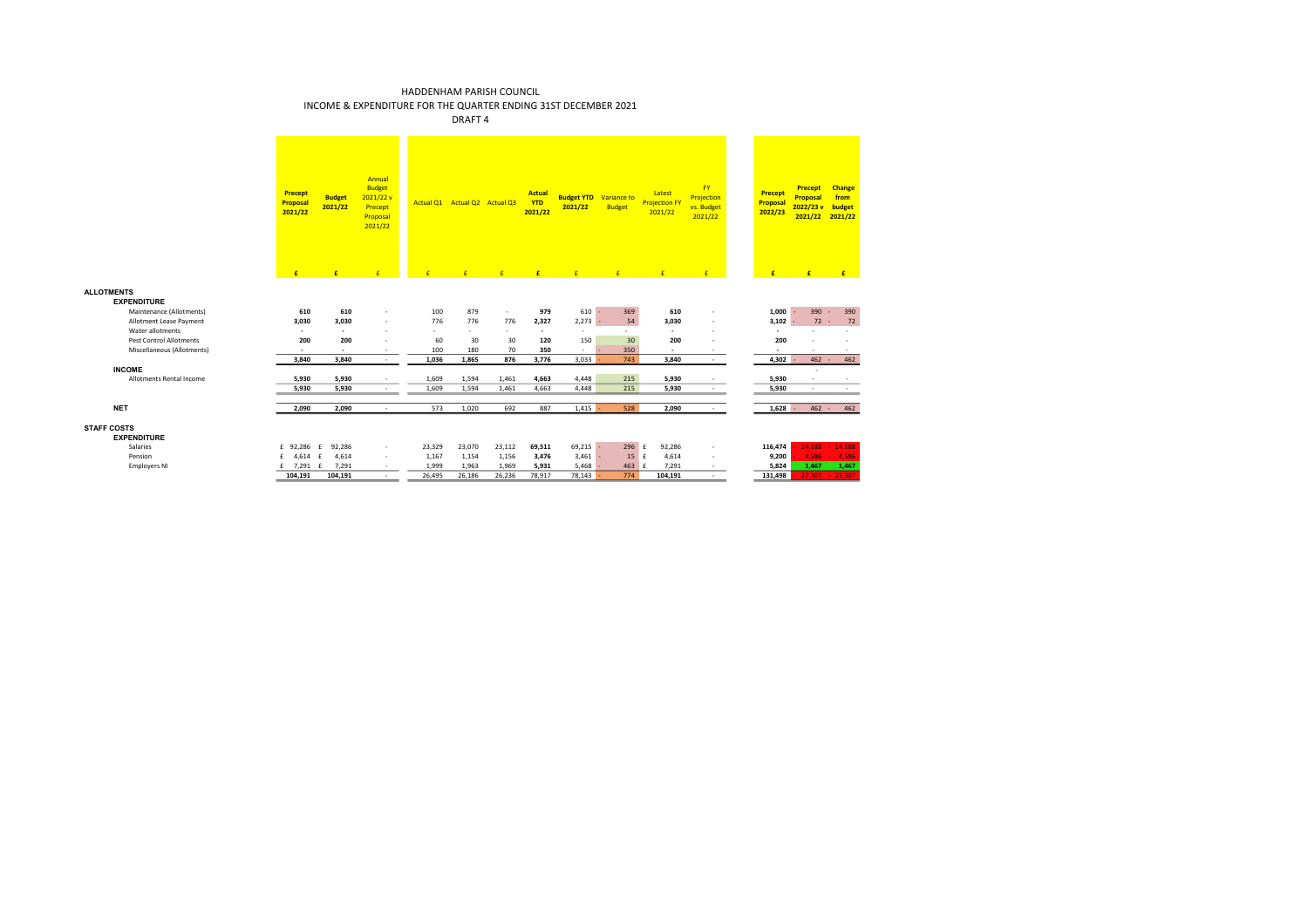INCOME & EXPENDITURE FOR THE QUARTER ENDING 31ST DECEMBER 2021

**ALLOTMENTS EXPENDITURE**

**STAFF COSTS**

**EXPENDITURE**<br>Salaries

|                                   | Precept<br>Proposal<br>2021/22 | <b>Budget</b><br>2021/22 | Annual<br><b>Budget</b><br>2021/22 v<br>Precept<br>Proposal<br>2021/22 |              | Actual Q1 Actual Q2 Actual Q3 |                          | <b>Actual</b><br><b>YTD</b><br>2021/22 | <b>Budget YTD</b><br>2021/22 | Variance to<br><b>Budget</b> | Latest<br><b>Projection FY</b><br>2021/22 | <b>FY</b><br>Projection<br>vs. Budget<br>2021/22 | Precept<br>Proposal<br>2022/23 | <b>Precept</b><br>Proposal<br>2022/23v<br>2021/22 | <b>Change</b><br>from<br>budget<br>2021/22 |
|-----------------------------------|--------------------------------|--------------------------|------------------------------------------------------------------------|--------------|-------------------------------|--------------------------|----------------------------------------|------------------------------|------------------------------|-------------------------------------------|--------------------------------------------------|--------------------------------|---------------------------------------------------|--------------------------------------------|
|                                   | £                              | £                        | £                                                                      | $\mathbf{f}$ | E                             | E                        | £                                      | E                            | E                            | E                                         | E                                                | £                              | £                                                 | E                                          |
| <b>ENTS</b><br><b>EXPENDITURE</b> |                                |                          |                                                                        |              |                               |                          |                                        |                              |                              |                                           |                                                  |                                |                                                   |                                            |
| Maintenance (Allotments)          | 610                            | 610                      | ٠                                                                      | 100          | 879                           | $\overline{\phantom{a}}$ | 979                                    | $610 -$                      | 369                          | 610                                       |                                                  | 1,000                          | $390 -$                                           | 390                                        |
| Allotment Lease Payment           | 3,030                          | 3,030                    | ٠                                                                      | 776          | 776                           | 776                      | 2,327                                  | $2,273 -$                    | 54                           | 3,030                                     | ä,                                               | 3,102                          | $72 -$                                            | 72                                         |
| Water allotments                  | ٠                              | $\overline{\phantom{a}}$ | ٠                                                                      | ٠            | ٠                             | $\sim$                   | $\overline{\phantom{a}}$               | $\sim$                       | $\sim$                       |                                           | ٠                                                | ٠                              |                                                   |                                            |
| <b>Pest Control Allotments</b>    | 200                            | 200                      |                                                                        | 60           | 30                            | 30                       | 120                                    | 150                          | 30                           | 200                                       |                                                  | 200                            |                                                   |                                            |
| Miscellaneous (Allotments)        | ٠                              | $\overline{\phantom{a}}$ | ٠                                                                      | 100          | 180                           | 70                       | 350                                    | $\sim$                       | 350                          | ×.                                        |                                                  | ٠                              |                                                   | $\sim$                                     |
|                                   | 3,840                          | 3.840                    | $\sim$                                                                 | 1,036        | 1,865                         | 876                      | 3,776                                  | 3,033                        | 743                          | 3,840                                     | $\sim$                                           | 4,302                          | $462 -$                                           | 462                                        |
| <b>INCOME</b>                     |                                |                          |                                                                        |              |                               |                          |                                        |                              |                              |                                           |                                                  |                                | $\sim$                                            |                                            |
| Allotments Rental Income          | 5,930                          | 5,930                    |                                                                        | 1,609        | 1,594                         | 1,461                    | 4,663                                  | 4,448                        | 215                          | 5,930                                     |                                                  | 5,930                          |                                                   |                                            |
|                                   | 5,930                          | 5,930                    | $\overline{\phantom{a}}$                                               | 1,609        | 1,594                         | 1,461                    | 4,663                                  | 4,448                        | 215                          | 5,930                                     | $\sim$                                           | 5,930                          | $\sim$                                            |                                            |
|                                   |                                |                          |                                                                        |              |                               |                          |                                        |                              |                              |                                           |                                                  |                                |                                                   |                                            |
| NET                               | 2,090                          | 2,090                    | $\sim$                                                                 | 573          | 1,020                         | 692                      | 887                                    | 1,415                        | 528                          | 2,090                                     | $\sim$                                           | $1,628 -$                      | $462 -$                                           | 462                                        |
| <b>OSTS</b><br><b>EXPENDITURE</b> |                                |                          |                                                                        |              |                               |                          |                                        |                              |                              |                                           |                                                  |                                |                                                   |                                            |
| Salaries                          | £ 92,286 £                     | 92,286                   | $\sim$                                                                 | 23,329       | 23,070                        | 23,112                   | 69,511                                 | $69,215 -$                   | 296 £                        | 92,286                                    | ٠                                                | 116,474                        | 24.188                                            | $-24,188$                                  |
| Pension                           | 4,614 £<br>f                   | 4,614                    | $\sim$                                                                 | 1,167        | 1,154                         | 1,156                    | 3,476                                  | $3,461 -$                    | $15$ f                       | 4,614                                     | $\sim$                                           | 9,200                          | 4.586                                             | 4.586                                      |
| <b>Employers NI</b>               | $7,291$ £<br>£                 | 7,291                    | $\sim$                                                                 | 1,999        | 1,963                         | 1,969                    | 5,931                                  | $5,468 -$                    | 463 £                        | 7,291                                     | $\sim$                                           | 5,824                          | 1,467                                             | 1,467                                      |
|                                   | 104,191                        | 104,191                  | $\sim$                                                                 | 26,495       | 26,186                        | 26,236                   | 78,917                                 | 78,143                       | 774                          | 104,191                                   | $\sim$                                           | 131,498                        |                                                   | $27,307 - 27,307$                          |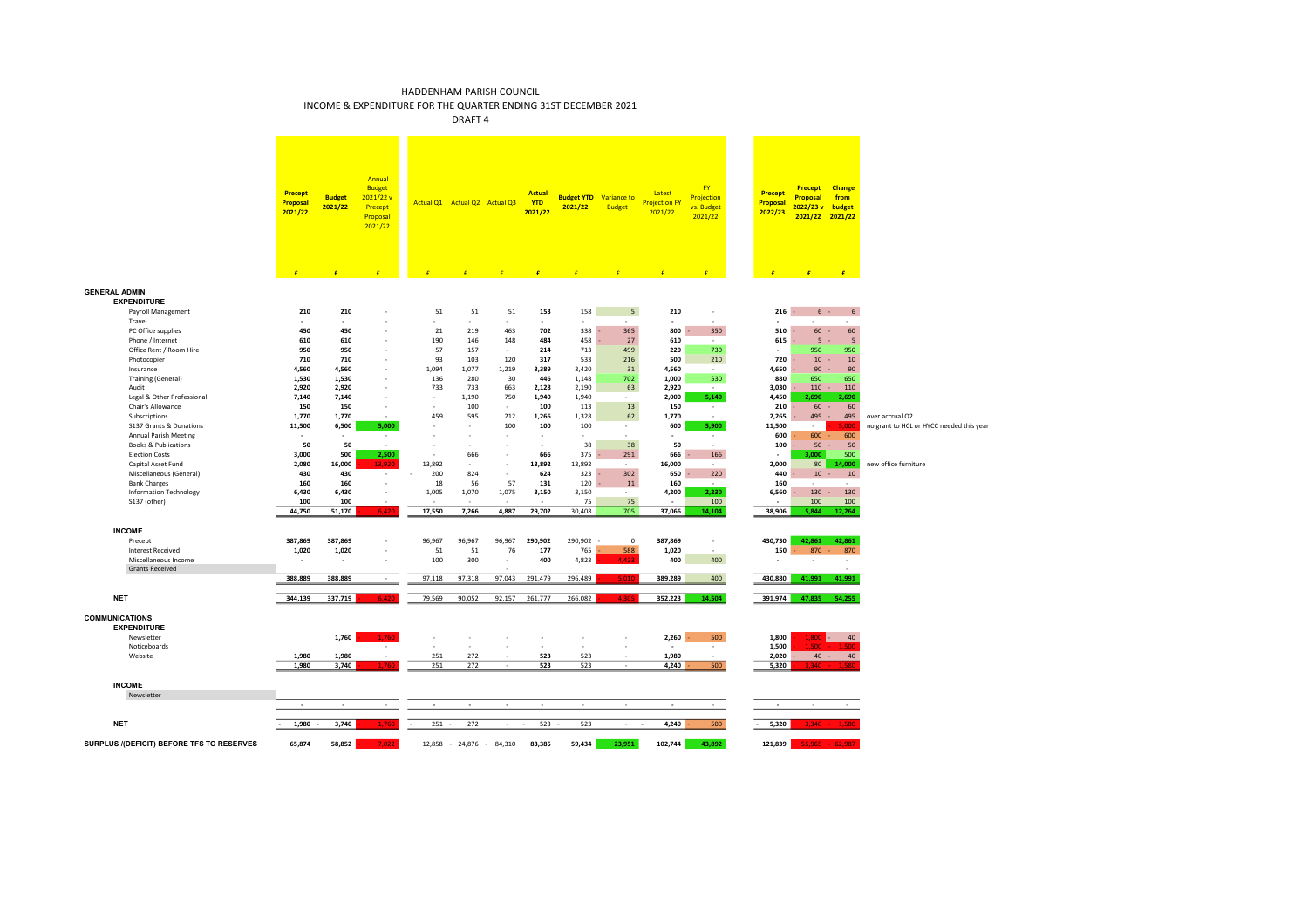INCOME & EXPENDITURE FOR THE QUARTER ENDING 31ST DECEMBER 2021

|                                                                            | <b>Precept</b><br><b>Proposal</b><br>2021/22 | <b>Budget</b><br>2021/22 | Annual<br><b>Budget</b><br>2021/22 v<br>Precept<br>Proposal<br>2021/22 |            | Actual Q1 Actual Q2 Actual Q3 |               | <b>Actual</b><br><b>YTD</b><br>2021/22 | <b>Budget YTD</b><br>2021/22 | Variance to<br><b>Budget</b> | Latest<br><b>Projection FY</b><br>2021/22 | <b>FY</b><br>Projection<br>vs. Budget<br>2021/22 | <b>Precept</b><br>Proposal<br>2022/23 | <b>Precept</b><br>Proposal<br>2022/23v<br>2021/22 | Change<br>from<br>budget<br>2021/22 |                                          |
|----------------------------------------------------------------------------|----------------------------------------------|--------------------------|------------------------------------------------------------------------|------------|-------------------------------|---------------|----------------------------------------|------------------------------|------------------------------|-------------------------------------------|--------------------------------------------------|---------------------------------------|---------------------------------------------------|-------------------------------------|------------------------------------------|
|                                                                            | £                                            | £                        | $\epsilon$                                                             | F          | F                             | F             | F                                      |                              |                              | F                                         | F                                                | £                                     | E                                                 | E                                   |                                          |
| <b>GENERAL ADMIN</b><br><b>EXPENDITURE</b><br>Payroll Management<br>Travel | 210<br>$\sim$                                | 210<br>$\sim$            |                                                                        | 51         | 51<br>$\sim$                  | 51<br>$\sim$  | 153<br>$\sim$                          | 158<br>$\sim$                | 5<br>÷.                      | 210<br>×                                  | $\epsilon$<br>i.                                 | 216                                   | $6 -$                                             | 6<br>i.                             |                                          |
| PC Office supplies                                                         | 450                                          | 450                      |                                                                        | 21         | 219                           | 463           | 702                                    | 338                          | 365                          | 800                                       | 350                                              | 510                                   | 60                                                | 60                                  |                                          |
| Phone / Internet                                                           | 610                                          | 610                      |                                                                        | 190        | 146                           | 148           | 484                                    | 458                          | 27                           | 610                                       | $\sim$                                           | 615                                   | 5                                                 | $\overline{5}$                      |                                          |
| Office Rent / Room Hire<br>Photocopier                                     | 950<br>710                                   | 950<br>710               |                                                                        | 57<br>93   | 157<br>103                    | $\sim$<br>120 | 214<br>317                             | 713<br>533                   | 499<br>216                   | 220<br>500                                | 730<br>210                                       | ٠<br>720                              | 950<br>10                                         | 950<br>10                           |                                          |
| Insurance                                                                  | 4,560                                        | 4,560                    |                                                                        | 1,094      | 1,077                         | 1,219         | 3,389                                  | 3,420                        | 31                           | 4,560                                     | $\sim$                                           | 4,650                                 | 90                                                | 90                                  |                                          |
| <b>Training (General)</b>                                                  | 1,530                                        | 1,530                    |                                                                        | 136        | 280                           | 30            | 446                                    | 1,148                        | 702                          | 1.000                                     | 530                                              | 880                                   | 650                                               | 650                                 |                                          |
| Audit                                                                      | 2,920                                        | 2,920                    |                                                                        | 733        | 733                           | 663           | 2,128                                  | 2,190                        | 63                           | 2,920                                     | $\sim$                                           | 3,030                                 | 110                                               | 110                                 |                                          |
| Legal & Other Professional                                                 | 7,140                                        | 7,140                    |                                                                        | $\sim$     | 1,190                         | 750           | 1,940                                  | 1,940                        | $\sim$                       | 2,000                                     | 5,140                                            | 4,450                                 | 2,690                                             | 2,690                               |                                          |
| Chair's Allowance                                                          | 150                                          | 150                      |                                                                        |            | 100                           |               | 100                                    | 113                          | 13                           | 150                                       | $\sim$                                           | 210                                   | 60                                                | 60<br>$\sim$                        |                                          |
| Subscriptions<br>S137 Grants & Donations                                   | 1,770<br>11,500                              | 1,770<br>6,500           | 5,000                                                                  | 459        | 595<br>٠                      | 212<br>100    | 1,266<br>100                           | 1,328<br>100                 | 62                           | 1,770<br>600                              |                                                  | 2,265<br>11,500                       | 495<br>$\sim$                                     | 495<br>5.000                        | over accrual Q2                          |
| <b>Annual Parish Meeting</b>                                               | $\sim$                                       |                          |                                                                        |            | ÷.                            | - 1           | ×.                                     | - 2                          | $\sim$<br>÷.                 | ٠                                         | 5,900<br>$\sim$                                  | 600                                   | 600                                               | 600                                 | no grant to HCL or HYCC needed this year |
| <b>Books &amp; Publications</b>                                            | 50                                           | 50                       |                                                                        |            | ٠                             | $\sim$        | $\mathbf{r}$                           | 38                           | 38                           | 50                                        | $\sim$                                           | 100                                   | 50                                                | 50                                  |                                          |
| <b>Election Costs</b>                                                      | 3,000                                        | 500                      | 2,500                                                                  | $\sim$     | 666                           | $\sim$        | 666                                    | 375                          | 291                          | 666                                       | 166                                              | ٠                                     | 3,000                                             | 500                                 |                                          |
| Capital Asset Fund                                                         | 2,080                                        | 16,000                   | 13,920                                                                 | 13,892     | $\sim$                        | $\sim$        | 13,892                                 | 13,892                       | $\sim$                       | 16,000                                    | $\sim$                                           | 2,000                                 | 80                                                | 14,000                              | new office furniture                     |
| Miscellaneous (General)                                                    | 430                                          | 430                      | $\sim$                                                                 | 200        | 824                           | $\sim$        | 624                                    | 323                          | 302                          | 650                                       | 220                                              | 440                                   | 10                                                | 10<br>$\sim$                        |                                          |
| <b>Bank Charges</b>                                                        | 160                                          | 160                      |                                                                        | 18         | 56                            | 57            | 131                                    | 120                          | 11                           | 160                                       |                                                  | 160                                   |                                                   |                                     |                                          |
| <b>Information Technology</b><br>S137 (other)                              | 6,430<br>100                                 | 6,430<br>100             |                                                                        | 1,005      | 1,070                         | 1,075         | 3,150                                  | 3,150<br>75                  | $\sim$<br>75                 | 4,200                                     | 2,230<br>100                                     | 6,560                                 | 130<br>100                                        | 130<br>100                          |                                          |
|                                                                            | 44,750                                       | 51,170                   | 6.420                                                                  | 17,550     | 7,266                         | 4,887         | 29,702                                 | 30,408                       | 705                          | 37,066                                    | 14,104                                           | 38,906                                | 5,844                                             | 12,264                              |                                          |
|                                                                            |                                              |                          |                                                                        |            |                               |               |                                        |                              |                              |                                           |                                                  |                                       |                                                   |                                     |                                          |
| <b>INCOME</b>                                                              |                                              |                          |                                                                        |            |                               |               |                                        |                              |                              |                                           |                                                  |                                       |                                                   |                                     |                                          |
| Precept                                                                    | 387,869                                      | 387,869                  |                                                                        | 96,967     | 96,967                        | 96,967        | 290,902                                | 290,902                      | $\mathbf 0$                  | 387,869                                   | $\sim$                                           | 430,730                               | 42,861                                            | 42,861                              |                                          |
| <b>Interest Received</b>                                                   | 1,020                                        | 1,020                    |                                                                        | 51         | 51                            | 76            | 177                                    | 765                          | 588                          | 1,020                                     | $\sim$                                           | 150                                   | 870                                               | 870                                 |                                          |
| Miscellaneous Income<br><b>Grants Received</b>                             |                                              | $\overline{\phantom{a}}$ |                                                                        | 100        | 300                           | $\epsilon$    | 400                                    | 4,823                        | 4.423                        | 400                                       | 400                                              | ä,                                    |                                                   | $\sim$                              |                                          |
|                                                                            | 388,889                                      | 388,889                  |                                                                        | 97,118     | 97,318                        | 97,043        | 291,479                                | 296,489                      | 5.010                        | 389,289                                   | 400                                              | 430,880                               | 41,991                                            | 41,991                              |                                          |
|                                                                            |                                              |                          |                                                                        |            |                               |               |                                        |                              |                              |                                           |                                                  |                                       |                                                   |                                     |                                          |
| <b>NET</b>                                                                 | 344,139                                      | 337,719                  | 6.420                                                                  | 79,569     | 90,052                        | 92,157        | 261,777                                | 266,082                      | 4.305                        | 352,223                                   | 14,504                                           | 391,974                               | 47,835                                            | 54,255                              |                                          |
| <b>COMMUNICATIONS</b><br><b>EXPENDITURE</b>                                |                                              |                          |                                                                        |            |                               |               |                                        |                              |                              |                                           |                                                  |                                       |                                                   |                                     |                                          |
| Newsletter                                                                 |                                              | 1,760                    | 1.760                                                                  |            |                               |               | ٠                                      |                              |                              | 2,260                                     | 500                                              | 1,800                                 | 1,800                                             | 40                                  |                                          |
| Noticeboards                                                               |                                              |                          | $\sim$                                                                 |            | ÷                             |               | ÷.                                     |                              |                              | ×                                         | $\sim$                                           | 1,500                                 | $1.500 -$                                         | 1.500                               |                                          |
| Website                                                                    | 1,980<br>1,980                               | 1,980<br>3,740           | 1,760                                                                  | 251<br>251 | 272<br>272                    |               | 523<br>523                             | 523<br>523                   |                              | 1,980<br>4,240                            | in 1919.<br>500                                  | 2,020<br>5,320                        | 3,340                                             | $40 -$<br>40<br>1.580               |                                          |
|                                                                            |                                              |                          |                                                                        |            |                               |               |                                        |                              |                              |                                           |                                                  |                                       |                                                   |                                     |                                          |
| <b>INCOME</b>                                                              |                                              |                          |                                                                        |            |                               |               |                                        |                              |                              |                                           |                                                  |                                       |                                                   |                                     |                                          |
| Newsletter                                                                 |                                              |                          |                                                                        |            |                               |               |                                        |                              |                              |                                           |                                                  |                                       |                                                   |                                     |                                          |
|                                                                            | $\sim$                                       | $\sim$                   | $\sim$                                                                 | $\sim$     | $\sim$                        | $\sim$        | $\sim$                                 | $\sim$                       | $\sim$                       | $\sim$                                    | $\sim$                                           | $\sim$                                | $\sim$                                            | $\sim$                              |                                          |
| <b>NET</b>                                                                 | 1,980                                        | 3,740                    | -760                                                                   | $251 -$    | 272                           | $\sim$        | $523 -$<br>$\sim$                      | 523                          | $\sim$                       | 4,240<br>$\sim$                           | 500                                              | 5,320                                 | 3.340                                             |                                     |                                          |
| SURPLUS /(DEFICIT) BEFORE TFS TO RESERVES                                  | 65,874                                       | 58,852                   | כמ ל                                                                   |            | 12,858 - 24,876 -             | 84,310        | 83,385                                 | 59,434                       | 23,951                       | 102,744                                   | 43,892                                           | 121,839                               |                                                   | $55.965 - 62.987$                   |                                          |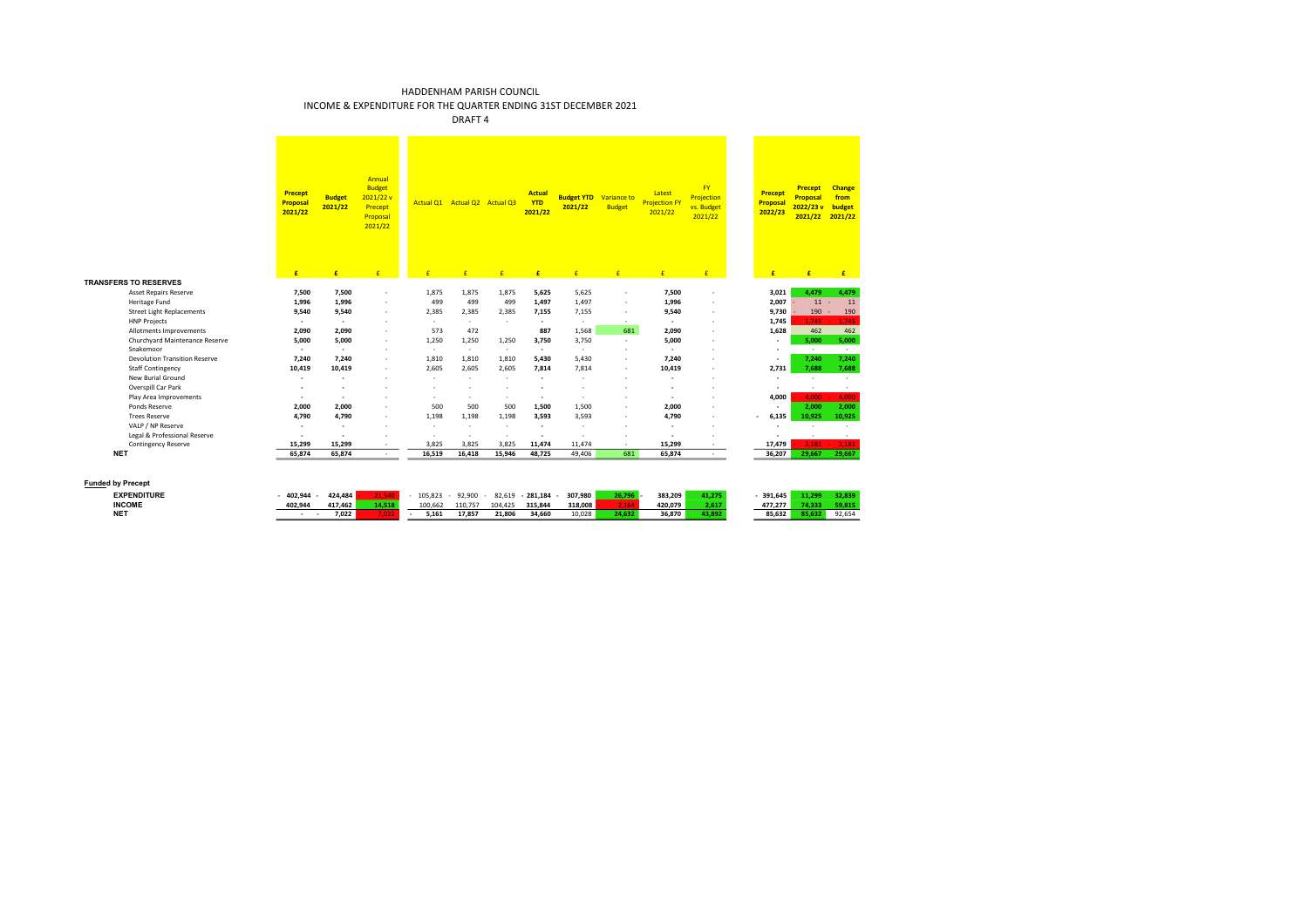INCOME & EXPENDITURE FOR THE QUARTER ENDING 31ST DECEMBER 2021

|                                               | <b>Precept</b><br>Proposal<br>2021/22 | <b>Budget</b><br>2021/22 | Annual<br><b>Budget</b><br>2021/22 v<br>Precept<br>Proposal<br>2021/22 |              | Actual Q1 Actual Q2 Actual Q3 |              | <b>Actual</b><br><b>YTD</b><br>2021/22 | <b>Budget YTD</b> Variance to<br>2021/22 | <b>Budget</b>                 | Latest<br><b>Projection FY</b><br>2021/22 | <b>FY</b><br>Projection<br>vs. Budget<br>2021/22 | <b>Precept</b><br>Proposal<br>2022/23 | <b>Precept</b><br>Proposal<br>2022/23 v<br>2021/22 | Change<br>from<br>budget<br>2021/22 |
|-----------------------------------------------|---------------------------------------|--------------------------|------------------------------------------------------------------------|--------------|-------------------------------|--------------|----------------------------------------|------------------------------------------|-------------------------------|-------------------------------------------|--------------------------------------------------|---------------------------------------|----------------------------------------------------|-------------------------------------|
|                                               | £                                     | £                        | £                                                                      | ×            | $\overline{f}$                | £            | £                                      | £                                        | £                             | £                                         | E                                                | £                                     | £                                                  | £                                   |
| <b>TRANSFERS TO RESERVES</b>                  |                                       |                          |                                                                        |              |                               |              |                                        |                                          |                               |                                           |                                                  |                                       |                                                    |                                     |
| <b>Asset Repairs Reserve</b><br>Heritage Fund | 7,500<br>1,996                        | 7,500<br>1,996           |                                                                        | 1,875<br>499 | 1,875<br>499                  | 1,875<br>499 | 5,625<br>1,497                         | 5,625<br>1,497                           | $\overline{\phantom{a}}$<br>٠ | 7,500<br>1,996                            |                                                  | 3,021<br>2,007                        | 4,479<br>11                                        | 4,479<br>11                         |
| <b>Street Light Replacements</b>              | 9,540                                 | 9,540                    |                                                                        | 2,385        | 2,385                         | 2,385        | 7,155                                  | 7,155                                    | ٠                             | 9,540                                     |                                                  | 9,730                                 | 190                                                | 190                                 |
| <b>HNP Projects</b>                           | ٠                                     | $\sim$                   |                                                                        | $\sim$       | $\sim$                        | $\sim$       | $\sim$                                 | $\sim$                                   | $\sim$                        | ٠                                         |                                                  | 1,745                                 | 1.745                                              | 1.745                               |
| Allotments Improvements                       | 2,090                                 | 2.090                    |                                                                        | 573          | 472                           |              | 887                                    | 1,568                                    | 681                           | 2,090                                     |                                                  | 1,628                                 | 462                                                | 462                                 |
| Churchyard Maintenance Reserve                | 5,000                                 | 5,000                    |                                                                        | 1,250        | 1,250                         | 1,250        | 3,750                                  | 3,750                                    | ×.                            | 5,000                                     |                                                  |                                       | 5,000                                              | 5,000                               |
| Snakemoor                                     | ٠                                     | ٠                        |                                                                        | $\sim$       | $\sim$                        | $\sim$       | $\sim$                                 | $\sim$                                   | ٠                             | ٠                                         |                                                  |                                       | $\sim$                                             | $\sim$                              |
| <b>Devolution Transition Reserve</b>          | 7,240                                 | 7.240                    |                                                                        | 1,810        | 1,810                         | 1,810        | 5,430                                  | 5,430                                    | ٠                             | 7,240                                     |                                                  |                                       | 7,240                                              | 7,240                               |
| <b>Staff Contingency</b>                      | 10,419                                | 10,419                   |                                                                        | 2.605        | 2,605                         | 2.605        | 7,814                                  | 7,814                                    | ٠                             | 10,419                                    |                                                  | 2,731                                 | 7,688                                              | 7,688                               |
| <b>New Burial Ground</b>                      | ٠                                     | ٠                        |                                                                        | ٠            | и.                            | ٠            | ×.                                     | $\sim$                                   | ٠                             | ٠                                         |                                                  |                                       | ٠                                                  | ×.                                  |
| Overspill Car Park                            | ٠                                     |                          |                                                                        |              |                               |              |                                        |                                          |                               |                                           |                                                  | ٠                                     | $\overline{\phantom{a}}$                           | $\sim$                              |
| Play Area Improvements                        | ٠                                     | ٠                        |                                                                        | ٠            | ٠                             | ٠            | $\overline{\phantom{a}}$               | $\sim$                                   | ٠                             | ٠                                         |                                                  | 4,000                                 | 4.000                                              | 4,000                               |
| Ponds Reserve                                 | 2,000                                 | 2.000                    |                                                                        | 500          | 500                           | 500          | 1,500                                  | 1,500                                    | ٠                             | 2.000                                     |                                                  |                                       | 2.000                                              | 2.000                               |
| <b>Trees Reserve</b>                          | 4,790                                 | 4,790                    |                                                                        | 1,198        | 1,198                         | 1,198        | 3,593                                  | 3,593                                    | ä,                            | 4,790                                     |                                                  | 6,135                                 | 10,925                                             | 10,925                              |
| VALP / NP Reserve                             | ٠                                     | $\overline{\phantom{a}}$ |                                                                        | $\sim$       | $\sim$                        | ٠            | ×.                                     | $\sim$                                   | ٠                             | ٠                                         |                                                  |                                       | ×                                                  | ×.                                  |
| Legal & Professional Reserve                  | ٠                                     | ٠                        |                                                                        | $\sim$       | $\sim$                        | $\sim$       | ٠                                      | $\sim$                                   | ٠                             | ٠                                         |                                                  |                                       | ٠                                                  | $\sim$                              |
| <b>Contingency Reserve</b>                    | 15,299                                | 15.299                   | $\sim$                                                                 | 3,825        | 3,825                         | 3.825        | 11,474                                 | 11,474                                   | $\sim$                        | 15,299                                    |                                                  | 17,479                                | 2.181                                              | 2.181                               |
| <b>NET</b>                                    | 65,874                                | 65,874                   | $\sim$                                                                 | 16,519       | 16,418                        | 15.946       | 48,725                                 | 49,406                                   | 681                           | 65,874                                    | $\sim$                                           | 36,207                                | 29.667                                             | 29.667                              |
| <b>Funded by Precept</b>                      |                                       |                          |                                                                        |              |                               |              |                                        |                                          |                               |                                           |                                                  |                                       |                                                    |                                     |
| <b>EXPENDITURE</b>                            | 402,944                               | 424,484                  | 21,540                                                                 | 105,823      | 92,900                        | 82,619       | $-281,184$                             | 307,980                                  | 26,796                        | 383,209                                   | 41,275                                           | $-391,645$                            | 11,299                                             | 32,839                              |
| <b>INCOME</b>                                 | 402,944                               | 417,462                  | 14,518                                                                 | 100,662      | 110,757                       | 104,425      | 315,844                                | 318,008                                  | 2,164                         | 420,079                                   | 2,617                                            | 477,277                               | 74,333                                             | 59,815                              |
| <b>NET</b>                                    | ٠                                     | 7.022                    | 7,022                                                                  | 5.161        | 17,857                        | 21.806       | 34,660                                 | 10.028                                   | 24.632                        | 36.870                                    | 43.892                                           | 85.632                                | 85.632                                             | 92.654                              |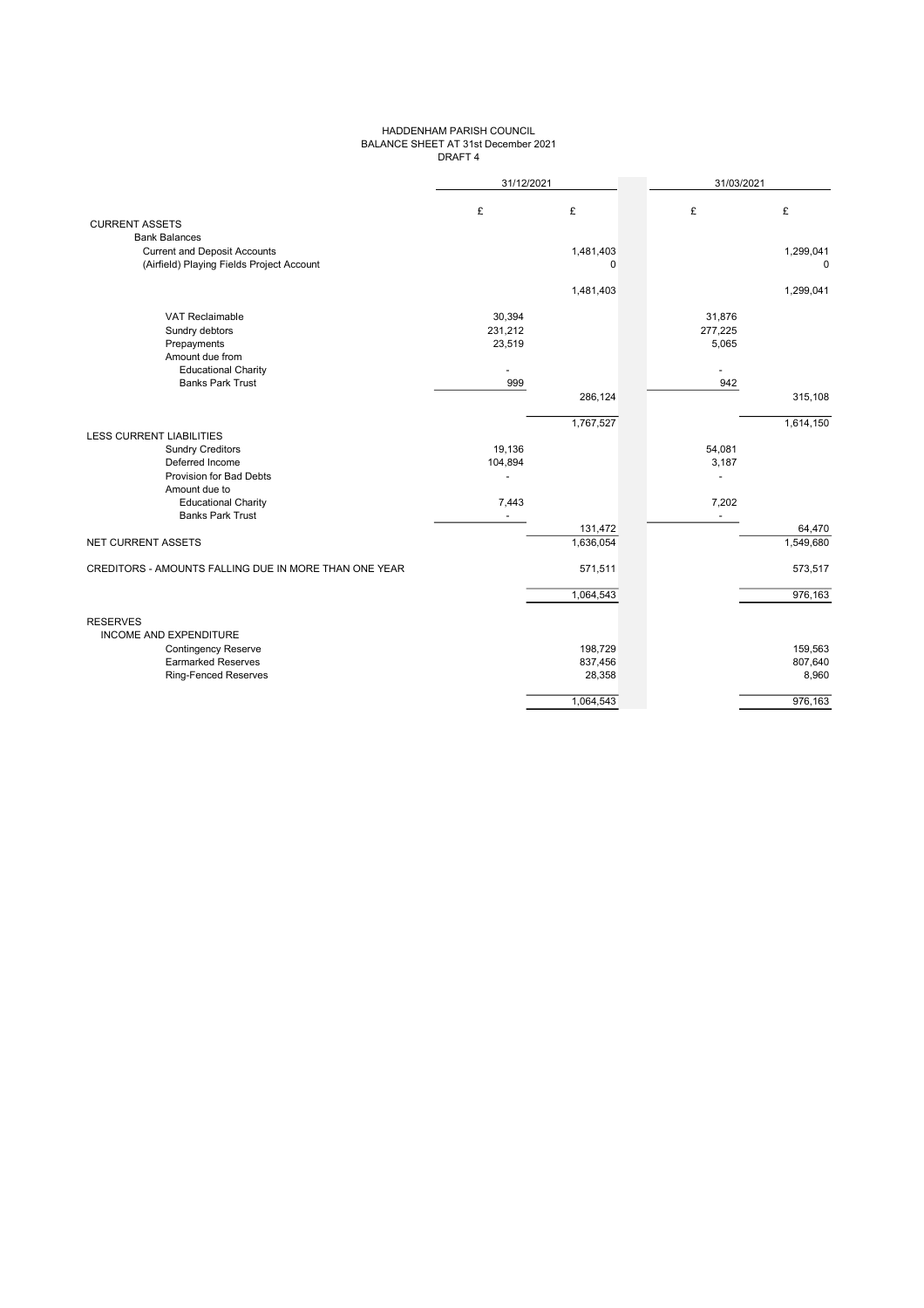### HADDENHAM PARISH COUNCIL BALANCE SHEET AT 31st December 2021 DRAFT 4

|                                                       | 31/12/2021 |             | 31/03/2021 |             |
|-------------------------------------------------------|------------|-------------|------------|-------------|
|                                                       | £          | £           | £          | £           |
| <b>CURRENT ASSETS</b>                                 |            |             |            |             |
| <b>Bank Balances</b>                                  |            |             |            |             |
| <b>Current and Deposit Accounts</b>                   |            | 1,481,403   |            | 1,299,041   |
| (Airfield) Playing Fields Project Account             |            | $\mathbf 0$ |            | $\mathbf 0$ |
|                                                       |            | 1,481,403   |            | 1,299,041   |
| <b>VAT Reclaimable</b>                                | 30,394     |             | 31,876     |             |
| Sundry debtors                                        | 231,212    |             | 277,225    |             |
| Prepayments                                           | 23,519     |             | 5,065      |             |
| Amount due from                                       |            |             |            |             |
| <b>Educational Charity</b>                            |            |             |            |             |
| <b>Banks Park Trust</b>                               | 999        |             | 942        |             |
|                                                       |            | 286,124     |            | 315,108     |
|                                                       |            | 1,767,527   |            | 1,614,150   |
| <b>LESS CURRENT LIABILITIES</b>                       |            |             |            |             |
| <b>Sundry Creditors</b>                               | 19,136     |             | 54,081     |             |
| Deferred Income                                       | 104,894    |             | 3,187      |             |
| Provision for Bad Debts                               |            |             |            |             |
| Amount due to<br><b>Educational Charity</b>           | 7,443      |             | 7,202      |             |
| <b>Banks Park Trust</b>                               |            |             |            |             |
|                                                       |            | 131,472     |            | 64,470      |
| NET CURRENT ASSETS                                    |            | 1,636,054   |            | 1,549,680   |
|                                                       |            |             |            |             |
| CREDITORS - AMOUNTS FALLING DUE IN MORE THAN ONE YEAR |            | 571,511     |            | 573,517     |
|                                                       |            | 1,064,543   |            | 976,163     |
|                                                       |            |             |            |             |
| <b>RESERVES</b>                                       |            |             |            |             |
| <b>INCOME AND EXPENDITURE</b>                         |            |             |            |             |
| <b>Contingency Reserve</b>                            |            | 198,729     |            | 159,563     |
| <b>Earmarked Reserves</b>                             |            | 837,456     |            | 807,640     |
| <b>Ring-Fenced Reserves</b>                           |            | 28,358      |            | 8,960       |
|                                                       |            | 1,064,543   |            | 976,163     |